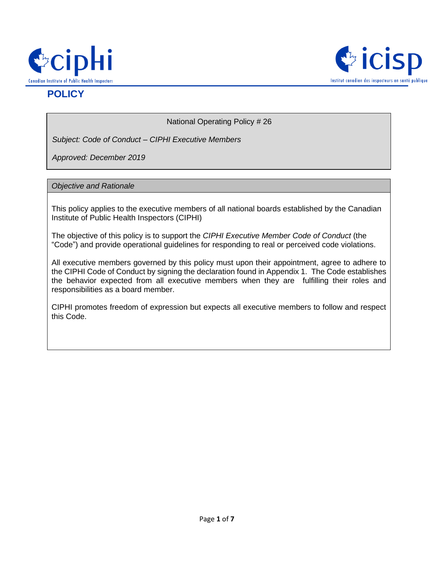



# **POLICY**

National Operating Policy # 26

*Subject: Code of Conduct – CIPHI Executive Members*

*Approved: December 2019*

#### *Objective and Rationale*

This policy applies to the executive members of all national boards established by the Canadian Institute of Public Health Inspectors (CIPHI)

The objective of this policy is to support the *CIPHI Executive Member Code of Conduct* (the "Code") and provide operational guidelines for responding to real or perceived code violations.

All executive members governed by this policy must upon their appointment, agree to adhere to the CIPHI Code of Conduct by signing the declaration found in Appendix 1. The Code establishes the behavior expected from all executive members when they are fulfilling their roles and responsibilities as a board member.

CIPHI promotes freedom of expression but expects all executive members to follow and respect this Code.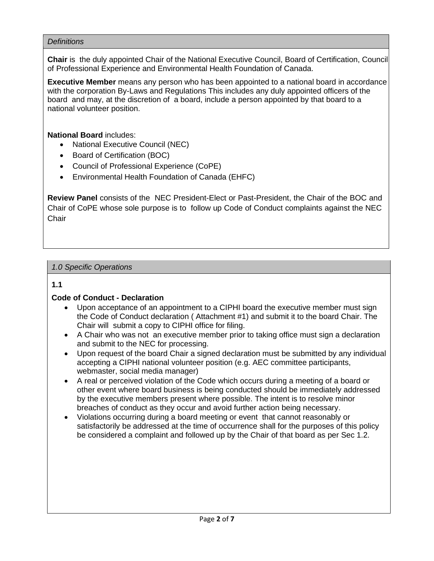#### *Definitions*

**Chair** is the duly appointed Chair of the National Executive Council, Board of Certification, Council of Professional Experience and Environmental Health Foundation of Canada.

**Executive Member** means any person who has been appointed to a national board in accordance with the corporation By-Laws and Regulations This includes any duly appointed officers of the board and may, at the discretion of a board, include a person appointed by that board to a national volunteer position.

**National Board** includes:

- National Executive Council (NEC)
- Board of Certification (BOC)
- Council of Professional Experience (CoPE)
- Environmental Health Foundation of Canada (EHFC)

**Review Panel** consists of the NEC President-Elect or Past-President, the Chair of the BOC and Chair of CoPE whose sole purpose is to follow up Code of Conduct complaints against the NEC **Chair** 

#### *1.0 Specific Operations*

#### **1.1**

#### **Code of Conduct - Declaration**

- Upon acceptance of an appointment to a CIPHI board the executive member must sign the Code of Conduct declaration ( Attachment #1) and submit it to the board Chair. The Chair will submit a copy to CIPHI office for filing.
- A Chair who was not an executive member prior to taking office must sign a declaration and submit to the NEC for processing.
- Upon request of the board Chair a signed declaration must be submitted by any individual accepting a CIPHI national volunteer position (e.g. AEC committee participants, webmaster, social media manager)
- A real or perceived violation of the Code which occurs during a meeting of a board or other event where board business is being conducted should be immediately addressed by the executive members present where possible. The intent is to resolve minor breaches of conduct as they occur and avoid further action being necessary.
- Violations occurring during a board meeting or event that cannot reasonably or satisfactorily be addressed at the time of occurrence shall for the purposes of this policy be considered a complaint and followed up by the Chair of that board as per Sec 1.2.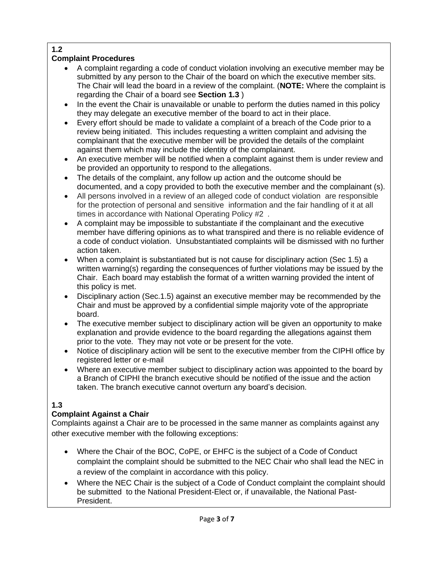### **1.2**

# **Complaint Procedures**

- A complaint regarding a code of conduct violation involving an executive member may be submitted by any person to the Chair of the board on which the executive member sits. The Chair will lead the board in a review of the complaint. (**NOTE:** Where the complaint is regarding the Chair of a board see **Section 1.3** )
- In the event the Chair is unavailable or unable to perform the duties named in this policy they may delegate an executive member of the board to act in their place.
- Every effort should be made to validate a complaint of a breach of the Code prior to a review being initiated. This includes requesting a written complaint and advising the complainant that the executive member will be provided the details of the complaint against them which may include the identity of the complainant.
- An executive member will be notified when a complaint against them is under review and be provided an opportunity to respond to the allegations.
- The details of the complaint, any follow up action and the outcome should be documented, and a copy provided to both the executive member and the complainant (s).
- All persons involved in a review of an alleged code of conduct violation are responsible for the protection of personal and sensitive information and the fair handling of it at all times in accordance with National Operating Policy #2 *.*
- A complaint may be impossible to substantiate if the complainant and the executive member have differing opinions as to what transpired and there is no reliable evidence of a code of conduct violation. Unsubstantiated complaints will be dismissed with no further action taken.
- When a complaint is substantiated but is not cause for disciplinary action (Sec 1.5) a written warning(s) regarding the consequences of further violations may be issued by the Chair. Each board may establish the format of a written warning provided the intent of this policy is met.
- Disciplinary action (Sec.1.5) against an executive member may be recommended by the Chair and must be approved by a confidential simple majority vote of the appropriate board.
- The executive member subject to disciplinary action will be given an opportunity to make explanation and provide evidence to the board regarding the allegations against them prior to the vote. They may not vote or be present for the vote.
- Notice of disciplinary action will be sent to the executive member from the CIPHI office by registered letter or e-mail
- Where an executive member subject to disciplinary action was appointed to the board by a Branch of CIPHI the branch executive should be notified of the issue and the action taken. The branch executive cannot overturn any board's decision.

# **1.3**

# **Complaint Against a Chair**

Complaints against a Chair are to be processed in the same manner as complaints against any other executive member with the following exceptions:

- Where the Chair of the BOC, CoPE, or EHFC is the subject of a Code of Conduct complaint the complaint should be submitted to the NEC Chair who shall lead the NEC in a review of the complaint in accordance with this policy.
- Where the NEC Chair is the subject of a Code of Conduct complaint the complaint should be submitted to the National President-Elect or, if unavailable, the National Past-President.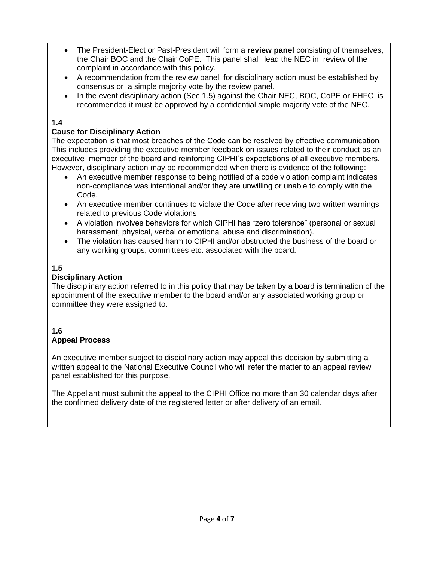- The President-Elect or Past-President will form a **review panel** consisting of themselves, the Chair BOC and the Chair CoPE. This panel shall lead the NEC in review of the complaint in accordance with this policy.
- A recommendation from the review panel for disciplinary action must be established by consensus or a simple majority vote by the review panel.
- In the event disciplinary action (Sec 1.5) against the Chair NEC, BOC, CoPE or EHFC is recommended it must be approved by a confidential simple majority vote of the NEC.

#### **1.4**

#### **Cause for Disciplinary Action**

The expectation is that most breaches of the Code can be resolved by effective communication. This includes providing the executive member feedback on issues related to their conduct as an executive member of the board and reinforcing CIPHI's expectations of all executive members. However, disciplinary action may be recommended when there is evidence of the following:

- An executive member response to being notified of a code violation complaint indicates non-compliance was intentional and/or they are unwilling or unable to comply with the Code.
- An executive member continues to violate the Code after receiving two written warnings related to previous Code violations
- A violation involves behaviors for which CIPHI has "zero tolerance" (personal or sexual harassment, physical, verbal or emotional abuse and discrimination).
- The violation has caused harm to CIPHI and/or obstructed the business of the board or any working groups, committees etc. associated with the board.

### **1.5**

#### **Disciplinary Action**

The disciplinary action referred to in this policy that may be taken by a board is termination of the appointment of the executive member to the board and/or any associated working group or committee they were assigned to.

#### **1.6 Appeal Process**

An executive member subject to disciplinary action may appeal this decision by submitting a written appeal to the National Executive Council who will refer the matter to an appeal review panel established for this purpose.

The Appellant must submit the appeal to the CIPHI Office no more than 30 calendar days after the confirmed delivery date of the registered letter or after delivery of an email.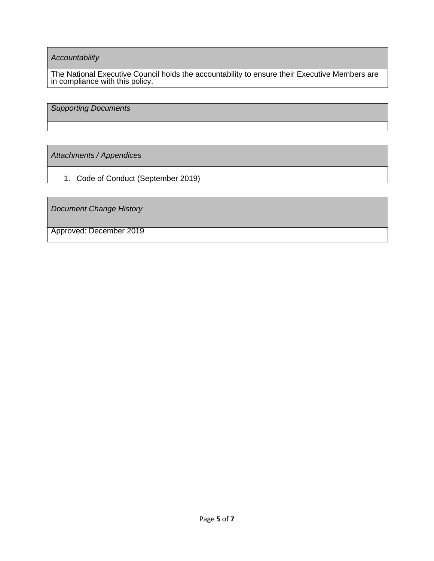*Accountability*

The National Executive Council holds the accountability to ensure their Executive Members are in compliance with this policy.

*Supporting Documents*

*Attachments / Appendices*

1. Code of Conduct (September 2019)

*Document Change History* 

Approved: December 2019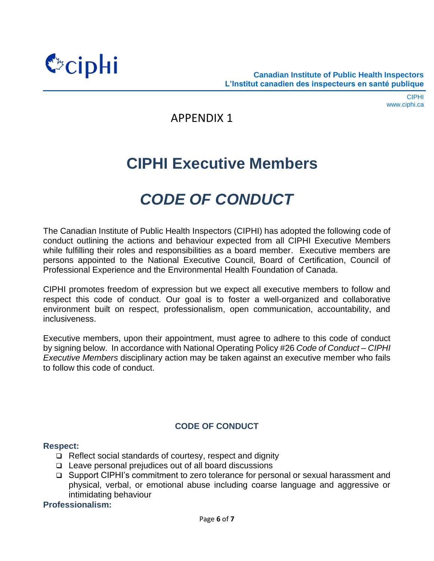

# APPENDIX 1

# **CIPHI Executive Members**

# *CODE OF CONDUCT*

The Canadian Institute of Public Health Inspectors (CIPHI) has adopted the following code of conduct outlining the actions and behaviour expected from all CIPHI Executive Members while fulfilling their roles and responsibilities as a board member. Executive members are persons appointed to the National Executive Council, Board of Certification, Council of Professional Experience and the Environmental Health Foundation of Canada.

CIPHI promotes freedom of expression but we expect all executive members to follow and respect this code of conduct. Our goal is to foster a well-organized and collaborative environment built on respect, professionalism, open communication, accountability, and inclusiveness.

Executive members, upon their appointment, must agree to adhere to this code of conduct by signing below. In accordance with National Operating Policy #26 *Code of Conduct – CIPHI Executive Members* disciplinary action may be taken against an executive member who fails to follow this code of conduct.

# **CODE OF CONDUCT**

#### **Respect:**

- ❑ Reflect social standards of courtesy, respect and dignity
- ❑ Leave personal prejudices out of all board discussions
- ❑ Support CIPHI's commitment to zero tolerance for personal or sexual harassment and physical, verbal, or emotional abuse including coarse language and aggressive or intimidating behaviour

#### **Professionalism:**